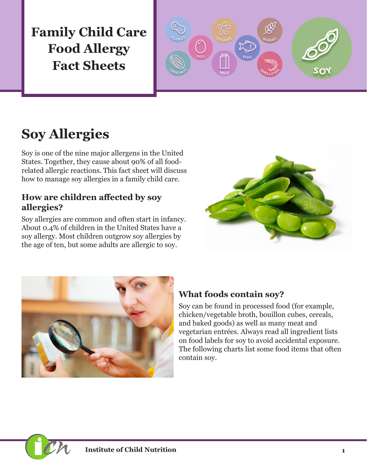**Family Child Care Food Allergy Fact Sheets**



# **Soy Allergies**

Soy is one of the nine major allergens in the United States. Together, they cause about 90% of all foodrelated allergic reactions. This fact sheet will discuss how to manage soy allergies in a family child care.

#### **How are children affected by soy allergies?**

Soy allergies are common and often start in infancy. About 0.4% of children in the United States have a soy allergy. Most children outgrow soy allergies by the age of ten, but some adults are allergic to soy.





### **What foods contain soy?**

Soy can be found in processed food (for example, chicken/vegetable broth, bouillon cubes, cereals, and baked goods) as well as many meat and vegetarian entrées. Always read all ingredient lists on food labels for soy to avoid accidental exposure. The following charts list some food items that often contain soy.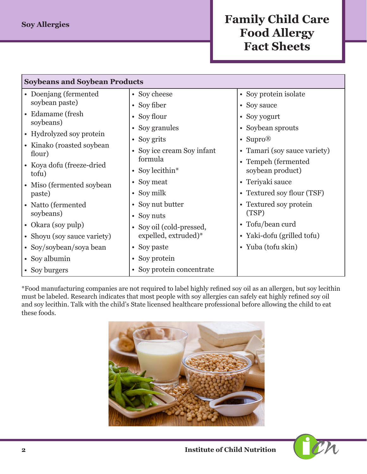## **Family Child Care Food Allergy Fact Sheets**

| <b>Soybeans and Soybean Products</b>  |                            |                                         |  |  |
|---------------------------------------|----------------------------|-----------------------------------------|--|--|
| • Doenjang (fermented                 | • Soy cheese               | • Soy protein isolate                   |  |  |
| soybean paste)                        | • Soy fiber                | • Soy sauce                             |  |  |
| • Edamame (fresh                      | • Soy flour                | • Soy yogurt                            |  |  |
| soybeans)<br>• Hydrolyzed soy protein | • Soy granules             | • Soybean sprouts                       |  |  |
|                                       | • Soy grits                | • Supro <sup>®</sup>                    |  |  |
| • Kinako (roasted soybean<br>flour)   | • Soy ice cream Soy infant | • Tamari (soy sauce variety)            |  |  |
| • Koya dofu (freeze-dried)<br>tofu)   | formula<br>• Soy lecithin* | • Tempeh (fermented<br>soybean product) |  |  |
| • Miso (fermented soybean             | • Soy meat                 | • Teriyaki sauce                        |  |  |
| paste)                                | • Soy milk                 | • Textured soy flour (TSF)              |  |  |
| • Natto (fermented                    | • Soy nut butter           | • Textured soy protein                  |  |  |
| soybeans)                             | • Soy nuts                 | (TSP)                                   |  |  |
| • Okara (soy pulp)                    | • Soy oil (cold-pressed,   | • Tofu/bean curd                        |  |  |
| • Shoyu (soy sauce variety)           | expelled, extruded)*       | • Yaki-dofu (grilled tofu)              |  |  |
| • Soy/soybean/soya bean               | • Soy paste                | • Yuba (tofu skin)                      |  |  |
| • Soy albumin                         | • Soy protein              |                                         |  |  |
| • Soy burgers                         | • Soy protein concentrate  |                                         |  |  |

\*Food manufacturing companies are not required to label highly refined soy oil as an allergen, but soy lecithin must be labeled. Research indicates that most people with soy allergies can safely eat highly refined soy oil and soy lecithin. Talk with the child's State licensed healthcare professional before allowing the child to eat these foods.



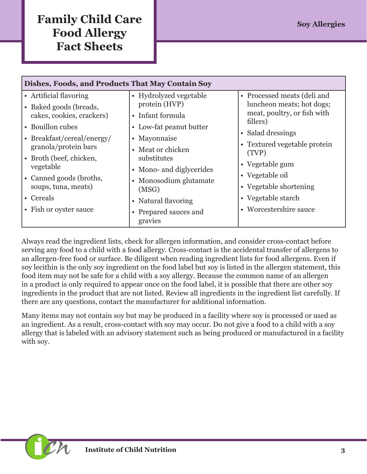# **Family Child Care Sov Allergies Sov Allergies Food Allergy Fact Sheets**

| • Artificial flavoring<br>• Hydrolyzed vegetable<br>• Processed meats (deli and<br>protein (HVP)<br>• Baked goods (breads,<br>meat, poultry, or fish with<br>cakes, cookies, crackers)<br>• Infant formula                                                                                                                                                                                                                                                                                                      | Dishes, Foods, and Products That May Contain Soy |                         |                                                                       |  |  |
|-----------------------------------------------------------------------------------------------------------------------------------------------------------------------------------------------------------------------------------------------------------------------------------------------------------------------------------------------------------------------------------------------------------------------------------------------------------------------------------------------------------------|--------------------------------------------------|-------------------------|-----------------------------------------------------------------------|--|--|
| • Salad dressings<br>• Breakfast/cereal/energy/<br>• Mayonnaise<br>granola/protein bars<br>• Meat or chicken<br>(TVP)<br>substitutes<br>• Broth (beef, chicken,<br>• Vegetable gum<br>vegetable<br>• Mono- and diglycerides<br>• Vegetable oil<br>• Canned goods (broths,<br>• Monosodium glutamate<br>• Vegetable shortening<br>soups, tuna, meats)<br>(MSG)<br>• Vegetable starch<br>• Cereals<br>• Natural flavoring<br>• Worcestershire sauce<br>• Fish or oyster sauce<br>• Prepared sauces and<br>gravies | • Bouillon cubes                                 | • Low-fat peanut butter | luncheon meats; hot dogs;<br>fillers)<br>• Textured vegetable protein |  |  |

Always read the ingredient lists, check for allergen information, and consider cross-contact before serving any food to a child with a food allergy. Cross-contact is the accidental transfer of allergens to an allergen-free food or surface. Be diligent when reading ingredient lists for food allergens. Even if soy lecithin is the only soy ingredient on the food label but soy is listed in the allergen statement, this food item may not be safe for a child with a soy allergy. Because the common name of an allergen in a product is only required to appear once on the food label, it is possible that there are other soy ingredients in the product that are not listed. Review all ingredients in the ingredient list carefully. If there are any questions, contact the manufacturer for additional information.

Many items may not contain soy but may be produced in a facility where soy is processed or used as an ingredient. As a result, cross-contact with soy may occur. Do not give a food to a child with a soy allergy that is labeled with an advisory statement such as being produced or manufactured in a facility with soy.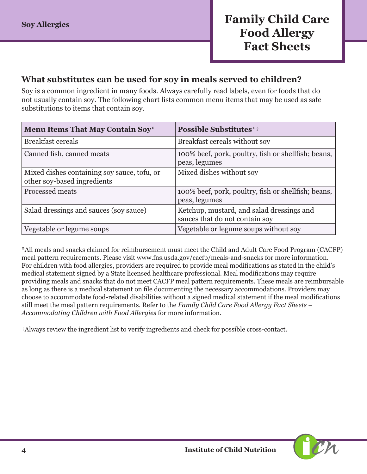#### **What substitutes can be used for soy in meals served to children?**

Soy is a common ingredient in many foods. Always carefully read labels, even for foods that do not usually contain soy. The following chart lists common menu items that may be used as safe substitutions to items that contain soy.

| <b>Menu Items That May Contain Soy*</b>                                    | <b>Possible Substitutes*†</b>                                               |
|----------------------------------------------------------------------------|-----------------------------------------------------------------------------|
| <b>Breakfast cereals</b>                                                   | Breakfast cereals without soy                                               |
| Canned fish, canned meats                                                  | 100% beef, pork, poultry, fish or shellfish; beans,<br>peas, legumes        |
| Mixed dishes containing soy sauce, tofu, or<br>other soy-based ingredients | Mixed dishes without soy                                                    |
| Processed meats                                                            | 100% beef, pork, poultry, fish or shellfish; beans,<br>peas, legumes        |
| Salad dressings and sauces (soy sauce)                                     | Ketchup, mustard, and salad dressings and<br>sauces that do not contain soy |
| Vegetable or legume soups                                                  | Vegetable or legume soups without soy                                       |

\*All meals and snacks claimed for reimbursement must meet the Child and Adult Care Food Program (CACFP) meal pattern requirements. Please visit [www.fns.usda.gov/cacfp/meals-and-snacks](http://www.fns.usda.gov/cacfp/meals-and-snacks) for more information. For children with food allergies, providers are required to provide meal modifications as stated in the child's medical statement signed by a State licensed healthcare professional. Meal modifications may require providing meals and snacks that do not meet CACFP meal pattern requirements. These meals are reimbursable as long as there is a medical statement on file documenting the necessary accommodations. Providers may choose to accommodate food-related disabilities without a signed medical statement if the meal modifications still meet the meal pattern requirements. Refer to the *Family Child Care Food Allergy Fact Sheets – Accommodating Children with Food Allergies* for more information.

†Always review the ingredient list to verify ingredients and check for possible cross-contact.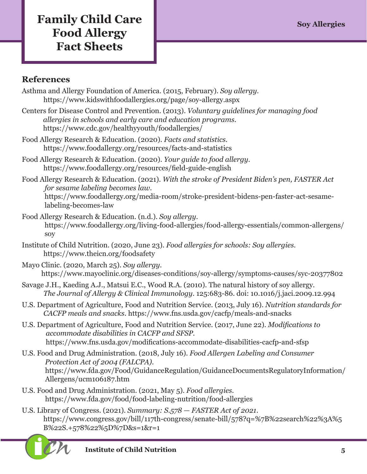# **Family Child Care Soy Allergies Sov Allergies Food Allergy Fact Sheets**

### **References**

- Asthma and Allergy Foundation of America. (2015, February). *Soy allergy.*  https://www.kidswithfoodallergies.org/page/soy-allergy.aspx
- Centers for Disease Control and Prevention. (2013). *Voluntary guidelines for managing food allergies in schools and early care and education programs*. https://www.cdc.gov/healthyyouth/foodallergies/
- Food Allergy Research & Education. (2020). *Facts and statistics.*  https://www.foodallergy.org/resources/facts-and-statistics
- Food Allergy Research & Education. (2020). *Your guide to food allergy.* https://www.foodallergy.org/resources/field-guide-english
- Food Allergy Research & Education. (2021). *With the stroke of President Biden's pen, FASTER Act for sesame labeling becomes law.*  https://www.foodallergy.org/media-room/stroke-president-bidens-pen-faster-act-sesamelabeling-becomes-law
- Food Allergy Research & Education. (n.d.). *Soy allergy*. [https://www.foodallergy.org/living-food-allergies/food-allergy-essentials/common-allergens/](https://www.foodallergy.org/living-food-allergies/food-allergy-essentials/common-allergens/soy) [soy](https://www.foodallergy.org/living-food-allergies/food-allergy-essentials/common-allergens/soy)
- Institute of Child Nutrition. (2020, June 23). *Food allergies for schools: Soy allergies.* https://www.theicn.org/foodsafety
- Mayo Clinic. (2020, March 25). *Soy allergy.* https://www.mayoclinic.org/diseases-conditions/soy-allergy/symptoms-causes/syc-20377802
- Savage J.H., Kaeding A.J., Matsui E.C., Wood R.A. (2010). The natural history of soy allergy. *The Journal of Allergy & Clinical Immunology*. 125:683-86. doi: 10.1016/j.jaci.2009.12.994
- U.S. Department of Agriculture, Food and Nutrition Service. (2013, July 16). *Nutrition standards for CACFP meals and snacks.* https://www.fns.usda.gov/cacfp/meals-and-snacks
- U.S. Department of Agriculture, Food and Nutrition Service. (2017, June 22). *Modifications to accommodate disabilities in CACFP and SFSP.*  https://www.fns.usda.gov/modifications-accommodate-disabilities-cacfp-and-sfsp
- U.S. Food and Drug Administration. (2018, July 16). *Food Allergen Labeling and Consumer Protection Act of 2004 (FALCPA).*  https://www.fda.gov/Food/GuidanceRegulation/GuidanceDocumentsRegulatoryInformation/ Allergens/ucm106187.htm
- U.S. Food and Drug Administration. (2021, May 5). *Food allergies.*  https://www.fda.gov/food/food-labeling-nutrition/food-allergies
- U.S. Library of Congress. (2021). *Summary: S.578 FASTER Act of 2021.* [https://www.congress.gov/bill/117th-congress/senate-bill/578?q=%7B%22search%22%3A%5](https://www.congress.gov/bill/117th-congress/senate-bill/578?q=%7B%22search%22%3A%5B%22S.+578%22%5D%7D&s=1&r=1) [B%22S.+578%22%5D%7D&s=1&r=1](https://www.congress.gov/bill/117th-congress/senate-bill/578?q=%7B%22search%22%3A%5B%22S.+578%22%5D%7D&s=1&r=1)